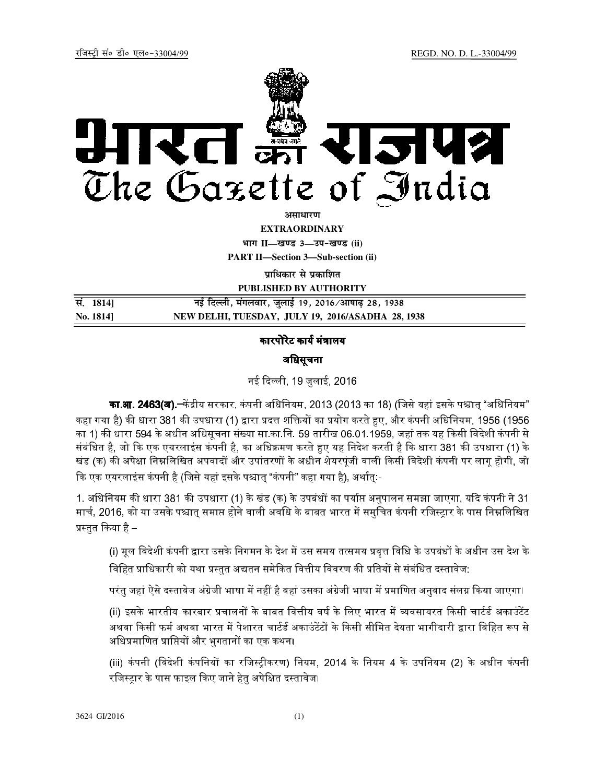

<u>असाधारण</u>

**EXTRAORDINARY**

**Hkkx II—[k.M 3—mi&[k.M (ii) PART II—Section 3—Sub-section (ii)** 

**पाधिकार से प्रकाशित** 

**PUBLISHED BY AUTHORITY**

| सं. 1814] | नई दिल्ली, मंगलवार, जुलाई 19, 2016 ∕आषाढ़ 28, 1938 |  |
|-----------|----------------------------------------------------|--|
| No. 1814] | NEW DELHI, TUESDAY, JULY 19, 2016/ASADHA 28, 1938  |  |

कारपोरेट कार्य मंत्रालय

अिधसूचना

नई दली, 19 जुलाई, 2016

**का.आ. 2463(अ).─**केंद्रीय सरकार, कंपनी अधिनियम, 2013 (2013 का 18) (जिसे यहां इसके पश्चात "अधिनियम" कहा गया है) की धारा 381 की उपधारा (1) द्वारा प्रदत्त शक्तियों का प्रयोग करते हुए, और कंपनी अधिनियम, 1956 (1956 का 1) की धारा 594 के अधीन अधिसूचना संख्या सा.का.नि. 59 तारीख 06.01.1959, जहां तक यह किसी विदेशी कंपनी से संबंधित है, जो कि एक एयरलाइंस कंपनी है, का अधिक्रमण करते हुए यह निदेश करती है कि धारा 381 की उपधारा (1) के खंड (क) की अपेक्षा निम्नलिखित अपवादों और उपांतरणों के अधीन शेयरपूंजी वाली किसी विदेशी कंपनी पर लागू होगी, जो कि एक एयरलाइंस कंपनी है (जिसे यहां इसके पश्चात् "कंपनी" कहा गया है), अर्थात्:-

1. अधिनियम की धारा 381 की उपधारा (1) के खंड (क) के उपबंधों का पर्याप्त अनुपालन समझा जाएगा, यदि कंपनी ने 31 मार्च. 2016. को या उसके पश्चात समाप्त होने वाली अवधि के बाबत भारत में समचित कंपनी रजिस्टार के पास निम्नलिखित प्रस्तुत किया है –

(i) मल विदेशी कंपनी द्वारा उसके निगमन के देश में उस समय तत्समय प्रवत्त विधि के उपबंधों के अधीन उस देश के विहित प्राधिकारी को यथा प्रस्तुत अद्यतन समेकित वित्तीय विवरण की प्रतियों से संबंधित दस्तावेज:

परंत जहां ऐसे दस्तावेज अंग्रेजी भाषा में नहीं है वहां उसका अंग्रेजी भाषा में प्रमाणित अनवाद संलग्न किया जाएगा।

(ii) इसके भारतीय कारबार प्रचालनों के बाबत वित्तीय वर्ष के लिए भारत में व्यवसायरत किसी चार्टर्ड अकाउंटेंट अथवा किसी फर्म अथवा भारत में पेशारत चार्टर्ड अकाउंटेंटों के किसी सीमित देयता भागीदारी द्वारा विहित रूप से अधिप्रमाणित प्राप्तियों और भुगतानों का एक कथन।

(iii) कंपनी (विदेशी कंपनियों का रजिस्ट्रीकरण) नियम, 2014 के नियम 4 के उपनियम (2) के अधीन कंपनी रजिस्ट्रार के पास फाइल किए जाने हेतु अपेक्षित दस्तावेज।